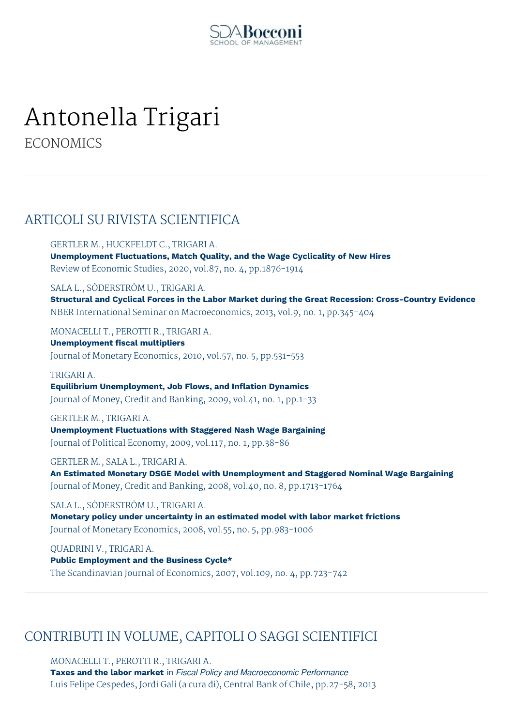

# Antonella Trigari

**ECONOMICS** 

## ARTICOLI SU RIVISTA SCIENTIFICA

GERTLER M., HUCKFELDT C., TRIGARI A.

**Unemployment Fluctuations, Match Quality, and the Wage Cyclicality of New Hires** Review of Economic Studies, 2020, vol.87, no. 4, pp.1876-1914

SALA L., SÖDERSTRÖM U., TRIGARI A.

**Structural and Cyclical Forces in the Labor Market during the Great Recession: Cross-Country Evidence** NBER International Seminar on Macroeconomics, 2013, vol.9, no. 1, pp.345-404

MONACELLI T., PEROTTI R., TRIGARI A.

**Unemployment fiscal multipliers** Journal of Monetary Economics, 2010, vol.57, no. 5, pp.531-553

#### TRIGARI A.

**Equilibrium Unemployment, Job Flows, and Inflation Dynamics** Journal of Money, Credit and Banking, 2009, vol.41, no. 1, pp.1-33

#### GERTLER M., TRIGARI A.

**Unemployment Fluctuations with Staggered Nash Wage Bargaining** Journal of Political Economy, 2009, vol.117, no. 1, pp.38-86

GERTLER M., SALA L., TRIGARI A.

**An Estimated Monetary DSGE Model with Unemployment and Staggered Nominal Wage Bargaining** Journal of Money, Credit and Banking, 2008, vol.40, no. 8, pp.1713-1764

SALA L., SÖDERSTRÖM U., TRIGARI A.

**Monetary policy under uncertainty in an estimated model with labor market frictions** Journal of Monetary Economics, 2008, vol.55, no. 5, pp.983-1006

QUADRINI V., TRIGARI A. **Public Employment and the Business Cycle\*** The Scandinavian Journal of Economics, 2007, vol.109, no. 4, pp.723-742

## CONTRIBUTI IN VOLUME, CAPITOLI O SAGGI SCIENTIFICI

MONACELLI T., PEROTTI R., TRIGARI A.

**Taxes and the labor market** in *Fiscal Policy and Macroeconomic Performance* Luis Felipe Cespedes, Jordi Gali (a cura di), Central Bank of Chile, pp.27-58, 2013